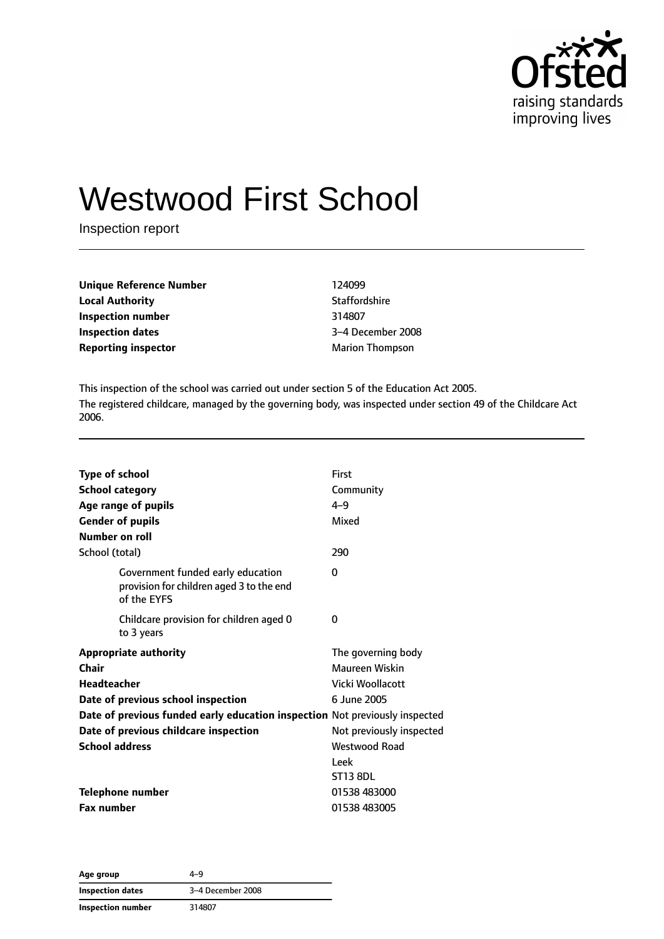

# Westwood First School

Inspection report

| <b>Unique Reference Number</b> | 124099                 |
|--------------------------------|------------------------|
| Local Authority                | <b>Staffordshire</b>   |
| Inspection number              | 314807                 |
| <b>Inspection dates</b>        | 3-4 December 2008      |
| <b>Reporting inspector</b>     | <b>Marion Thompson</b> |
|                                |                        |

This inspection of the school was carried out under section 5 of the Education Act 2005. The registered childcare, managed by the governing body, was inspected under section 49 of the Childcare Act 2006.

| <b>Type of school</b><br><b>School category</b><br>Age range of pupils<br><b>Gender of pupils</b><br>Number on roll | First<br>Community<br>$4 - 9$<br>Mixed |
|---------------------------------------------------------------------------------------------------------------------|----------------------------------------|
| School (total)                                                                                                      | 290                                    |
| Government funded early education<br>provision for children aged 3 to the end<br>of the EYFS                        | 0                                      |
| Childcare provision for children aged 0<br>to 3 years                                                               | 0                                      |
| <b>Appropriate authority</b>                                                                                        | The governing body                     |
| Chair                                                                                                               | Maureen Wiskin                         |
| <b>Headteacher</b>                                                                                                  | Vicki Woollacott                       |
| Date of previous school inspection                                                                                  | 6 June 2005                            |
| Date of previous funded early education inspection Not previously inspected                                         |                                        |
| Date of previous childcare inspection                                                                               | Not previously inspected               |
| <b>School address</b>                                                                                               | Westwood Road                          |
|                                                                                                                     | Leek                                   |
|                                                                                                                     | <b>ST13 8DL</b>                        |
| <b>Telephone number</b>                                                                                             | 01538 483000                           |
| <b>Fax number</b>                                                                                                   | 01538 483005                           |

**Age group** 4–9 **Inspection dates** 3–4 December 2008 **Inspection number** 314807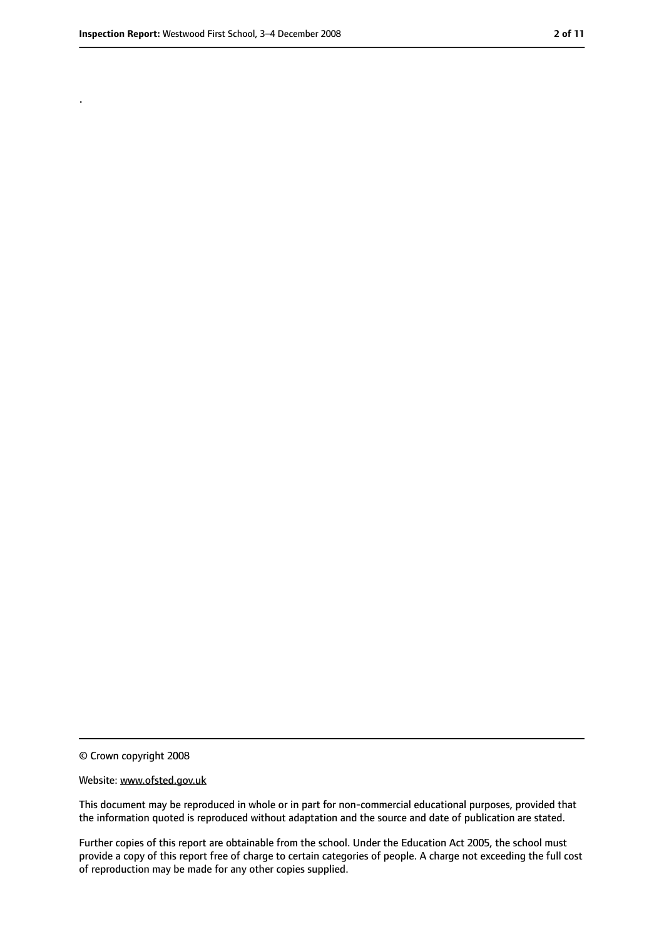.

<sup>©</sup> Crown copyright 2008

Website: www.ofsted.gov.uk

This document may be reproduced in whole or in part for non-commercial educational purposes, provided that the information quoted is reproduced without adaptation and the source and date of publication are stated.

Further copies of this report are obtainable from the school. Under the Education Act 2005, the school must provide a copy of this report free of charge to certain categories of people. A charge not exceeding the full cost of reproduction may be made for any other copies supplied.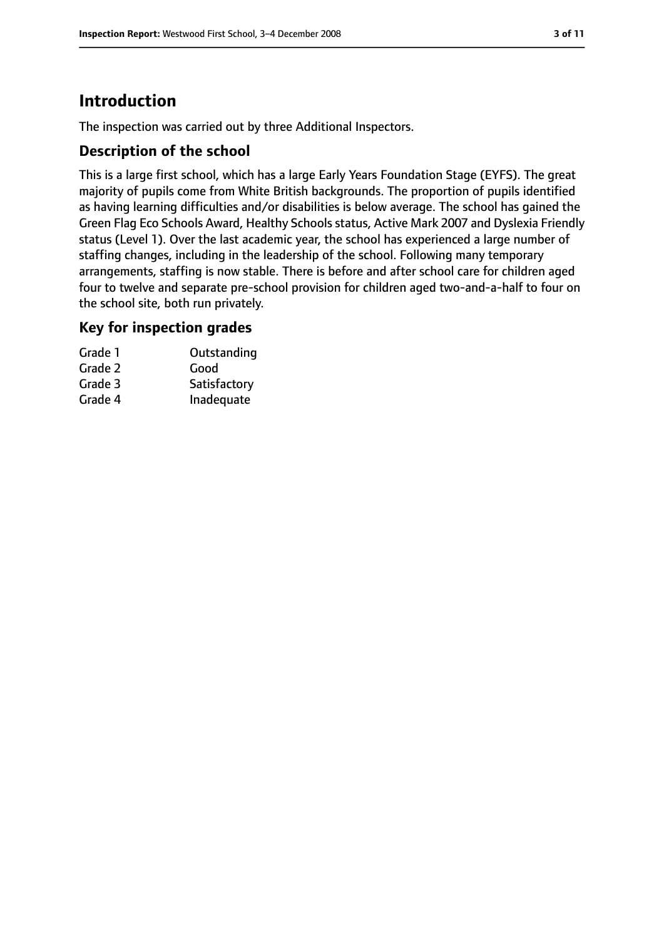# **Introduction**

The inspection was carried out by three Additional Inspectors.

## **Description of the school**

This is a large first school, which has a large Early Years Foundation Stage (EYFS). The great majority of pupils come from White British backgrounds. The proportion of pupils identified as having learning difficulties and/or disabilities is below average. The school has gained the Green Flag Eco Schools Award, Healthy Schools status, Active Mark 2007 and Dyslexia Friendly status (Level 1). Over the last academic year, the school has experienced a large number of staffing changes, including in the leadership of the school. Following many temporary arrangements, staffing is now stable. There is before and after school care for children aged four to twelve and separate pre-school provision for children aged two-and-a-half to four on the school site, both run privately.

#### **Key for inspection grades**

| Grade 1 | Outstanding  |
|---------|--------------|
| Grade 2 | Good         |
| Grade 3 | Satisfactory |
| Grade 4 | Inadequate   |
|         |              |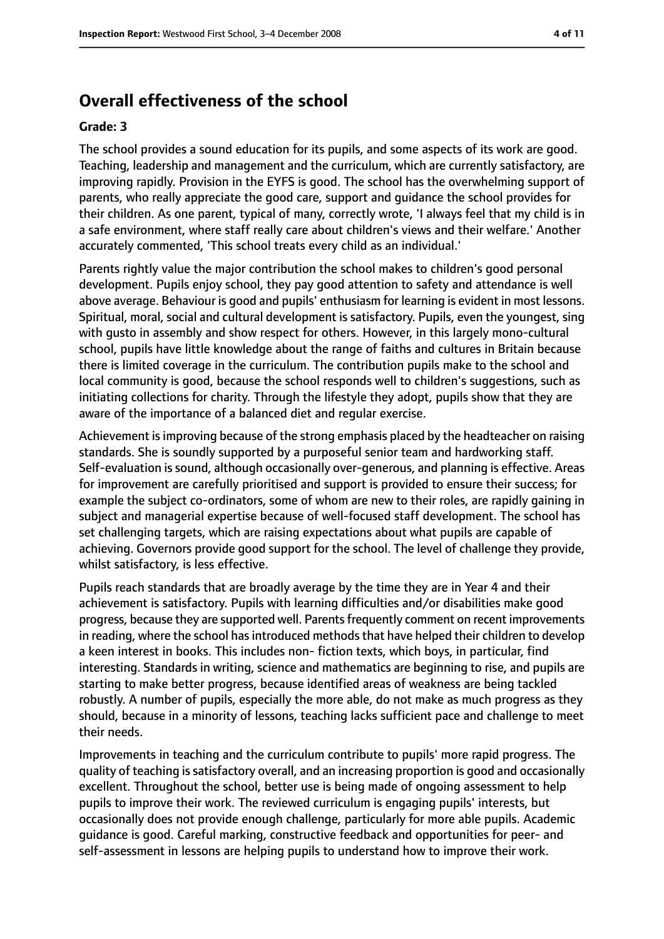## **Overall effectiveness of the school**

#### **Grade: 3**

The school provides a sound education for its pupils, and some aspects of its work are good. Teaching, leadership and management and the curriculum, which are currently satisfactory, are improving rapidly. Provision in the EYFS is good. The school has the overwhelming support of parents, who really appreciate the good care, support and guidance the school provides for their children. As one parent, typical of many, correctly wrote, 'I always feel that my child is in a safe environment, where staff really care about children's views and their welfare.' Another accurately commented, 'This school treats every child as an individual.'

Parents rightly value the major contribution the school makes to children's good personal development. Pupils enjoy school, they pay good attention to safety and attendance is well above average. Behaviour is good and pupils' enthusiasm for learning is evident in most lessons. Spiritual, moral, social and cultural development is satisfactory. Pupils, even the youngest, sing with gusto in assembly and show respect for others. However, in this largely mono-cultural school, pupils have little knowledge about the range of faiths and cultures in Britain because there is limited coverage in the curriculum. The contribution pupils make to the school and local community is good, because the school responds well to children's suggestions, such as initiating collections for charity. Through the lifestyle they adopt, pupils show that they are aware of the importance of a balanced diet and regular exercise.

Achievement isimproving because of the strong emphasis placed by the headteacher on raising standards. She is soundly supported by a purposeful senior team and hardworking staff. Self-evaluation is sound, although occasionally over-generous, and planning is effective. Areas for improvement are carefully prioritised and support is provided to ensure their success; for example the subject co-ordinators, some of whom are new to their roles, are rapidly gaining in subject and managerial expertise because of well-focused staff development. The school has set challenging targets, which are raising expectations about what pupils are capable of achieving. Governors provide good support for the school. The level of challenge they provide, whilst satisfactory, is less effective.

Pupils reach standards that are broadly average by the time they are in Year 4 and their achievement is satisfactory. Pupils with learning difficulties and/or disabilities make good progress, because they are supported well. Parents frequently comment on recent improvements in reading, where the school has introduced methods that have helped their children to develop a keen interest in books. This includes non- fiction texts, which boys, in particular, find interesting. Standards in writing, science and mathematics are beginning to rise, and pupils are starting to make better progress, because identified areas of weakness are being tackled robustly. A number of pupils, especially the more able, do not make as much progress as they should, because in a minority of lessons, teaching lacks sufficient pace and challenge to meet their needs.

Improvements in teaching and the curriculum contribute to pupils' more rapid progress. The quality of teaching issatisfactory overall, and an increasing proportion is good and occasionally excellent. Throughout the school, better use is being made of ongoing assessment to help pupils to improve their work. The reviewed curriculum is engaging pupils' interests, but occasionally does not provide enough challenge, particularly for more able pupils. Academic guidance is good. Careful marking, constructive feedback and opportunities for peer- and self-assessment in lessons are helping pupils to understand how to improve their work.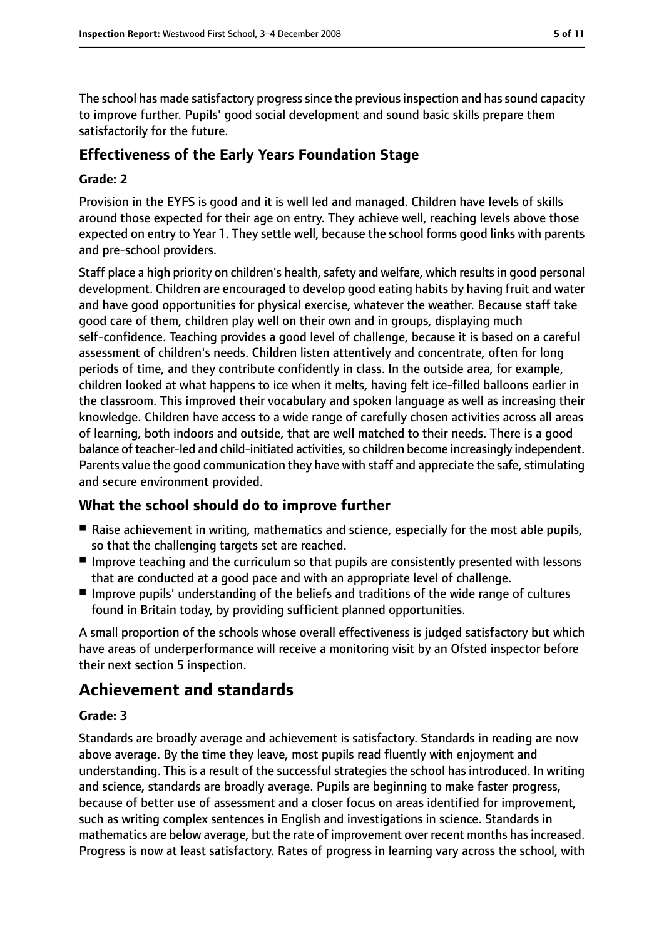The school has made satisfactory progress since the previous inspection and has sound capacity to improve further. Pupils' good social development and sound basic skills prepare them satisfactorily for the future.

## **Effectiveness of the Early Years Foundation Stage**

#### **Grade: 2**

Provision in the EYFS is good and it is well led and managed. Children have levels of skills around those expected for their age on entry. They achieve well, reaching levels above those expected on entry to Year 1. They settle well, because the school forms good links with parents and pre-school providers.

Staff place a high priority on children's health, safety and welfare, which results in good personal development. Children are encouraged to develop good eating habits by having fruit and water and have good opportunities for physical exercise, whatever the weather. Because staff take good care of them, children play well on their own and in groups, displaying much self-confidence. Teaching provides a good level of challenge, because it is based on a careful assessment of children's needs. Children listen attentively and concentrate, often for long periods of time, and they contribute confidently in class. In the outside area, for example, children looked at what happens to ice when it melts, having felt ice-filled balloons earlier in the classroom. This improved their vocabulary and spoken language as well as increasing their knowledge. Children have access to a wide range of carefully chosen activities across all areas of learning, both indoors and outside, that are well matched to their needs. There is a good balance of teacher-led and child-initiated activities, so children become increasingly independent. Parents value the good communication they have with staff and appreciate the safe, stimulating and secure environment provided.

## **What the school should do to improve further**

- Raise achievement in writing, mathematics and science, especially for the most able pupils, so that the challenging targets set are reached.
- Improve teaching and the curriculum so that pupils are consistently presented with lessons that are conducted at a good pace and with an appropriate level of challenge.
- Improve pupils' understanding of the beliefs and traditions of the wide range of cultures found in Britain today, by providing sufficient planned opportunities.

A small proportion of the schools whose overall effectiveness is judged satisfactory but which have areas of underperformance will receive a monitoring visit by an Ofsted inspector before their next section 5 inspection.

# **Achievement and standards**

#### **Grade: 3**

Standards are broadly average and achievement is satisfactory. Standards in reading are now above average. By the time they leave, most pupils read fluently with enjoyment and understanding. This is a result of the successful strategies the school has introduced. In writing and science, standards are broadly average. Pupils are beginning to make faster progress, because of better use of assessment and a closer focus on areas identified for improvement, such as writing complex sentences in English and investigations in science. Standards in mathematics are below average, but the rate of improvement over recent months has increased. Progress is now at least satisfactory. Rates of progress in learning vary across the school, with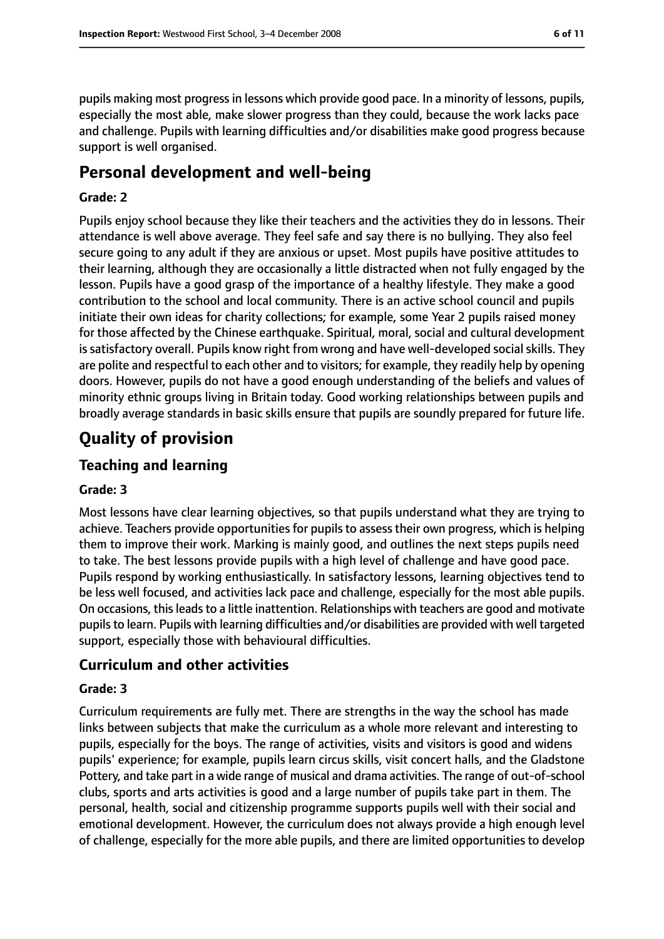pupils making most progressin lessons which provide good pace. In a minority of lessons, pupils, especially the most able, make slower progress than they could, because the work lacks pace and challenge. Pupils with learning difficulties and/or disabilities make good progress because support is well organised.

# **Personal development and well-being**

#### **Grade: 2**

Pupils enjoy school because they like their teachers and the activities they do in lessons. Their attendance is well above average. They feel safe and say there is no bullying. They also feel secure going to any adult if they are anxious or upset. Most pupils have positive attitudes to their learning, although they are occasionally a little distracted when not fully engaged by the lesson. Pupils have a good grasp of the importance of a healthy lifestyle. They make a good contribution to the school and local community. There is an active school council and pupils initiate their own ideas for charity collections; for example, some Year 2 pupils raised money for those affected by the Chinese earthquake. Spiritual, moral, social and cultural development is satisfactory overall. Pupils know right from wrong and have well-developed social skills. They are polite and respectful to each other and to visitors; for example, they readily help by opening doors. However, pupils do not have a good enough understanding of the beliefs and values of minority ethnic groups living in Britain today. Good working relationships between pupils and broadly average standards in basic skills ensure that pupils are soundly prepared for future life.

# **Quality of provision**

## **Teaching and learning**

#### **Grade: 3**

Most lessons have clear learning objectives, so that pupils understand what they are trying to achieve. Teachers provide opportunities for pupils to assess their own progress, which is helping them to improve their work. Marking is mainly good, and outlines the next steps pupils need to take. The best lessons provide pupils with a high level of challenge and have good pace. Pupils respond by working enthusiastically. In satisfactory lessons, learning objectives tend to be less well focused, and activities lack pace and challenge, especially for the most able pupils. On occasions, this leads to a little inattention. Relationships with teachers are good and motivate pupilsto learn. Pupils with learning difficulties and/or disabilities are provided with well targeted support, especially those with behavioural difficulties.

#### **Curriculum and other activities**

#### **Grade: 3**

Curriculum requirements are fully met. There are strengths in the way the school has made links between subjects that make the curriculum as a whole more relevant and interesting to pupils, especially for the boys. The range of activities, visits and visitors is good and widens pupils' experience; for example, pupils learn circus skills, visit concert halls, and the Gladstone Pottery, and take part in a wide range of musical and drama activities. The range of out-of-school clubs, sports and arts activities is good and a large number of pupils take part in them. The personal, health, social and citizenship programme supports pupils well with their social and emotional development. However, the curriculum does not always provide a high enough level of challenge, especially for the more able pupils, and there are limited opportunities to develop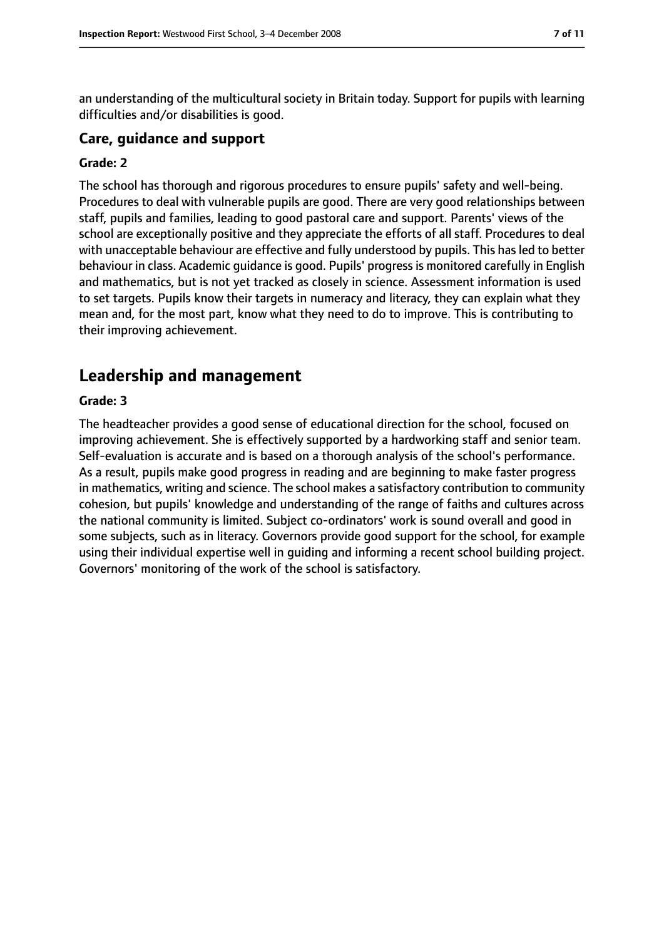an understanding of the multicultural society in Britain today. Support for pupils with learning difficulties and/or disabilities is good.

#### **Care, guidance and support**

#### **Grade: 2**

The school has thorough and rigorous procedures to ensure pupils' safety and well-being. Procedures to deal with vulnerable pupils are good. There are very good relationships between staff, pupils and families, leading to good pastoral care and support. Parents' views of the school are exceptionally positive and they appreciate the efforts of all staff. Procedures to deal with unacceptable behaviour are effective and fully understood by pupils. This has led to better behaviour in class. Academic guidance is good. Pupils' progress is monitored carefully in English and mathematics, but is not yet tracked as closely in science. Assessment information is used to set targets. Pupils know their targets in numeracy and literacy, they can explain what they mean and, for the most part, know what they need to do to improve. This is contributing to their improving achievement.

# **Leadership and management**

#### **Grade: 3**

The headteacher provides a good sense of educational direction for the school, focused on improving achievement. She is effectively supported by a hardworking staff and senior team. Self-evaluation is accurate and is based on a thorough analysis of the school's performance. As a result, pupils make good progress in reading and are beginning to make faster progress in mathematics, writing and science. The school makes a satisfactory contribution to community cohesion, but pupils' knowledge and understanding of the range of faiths and cultures across the national community is limited. Subject co-ordinators' work is sound overall and good in some subjects, such as in literacy. Governors provide good support for the school, for example using their individual expertise well in guiding and informing a recent school building project. Governors' monitoring of the work of the school is satisfactory.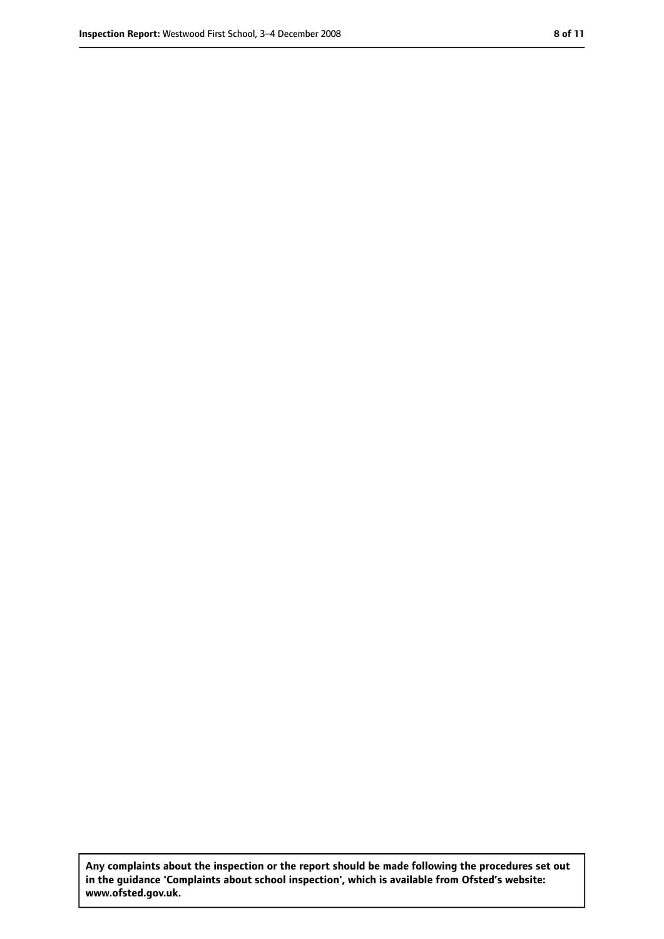**Any complaints about the inspection or the report should be made following the procedures set out in the guidance 'Complaints about school inspection', which is available from Ofsted's website: www.ofsted.gov.uk.**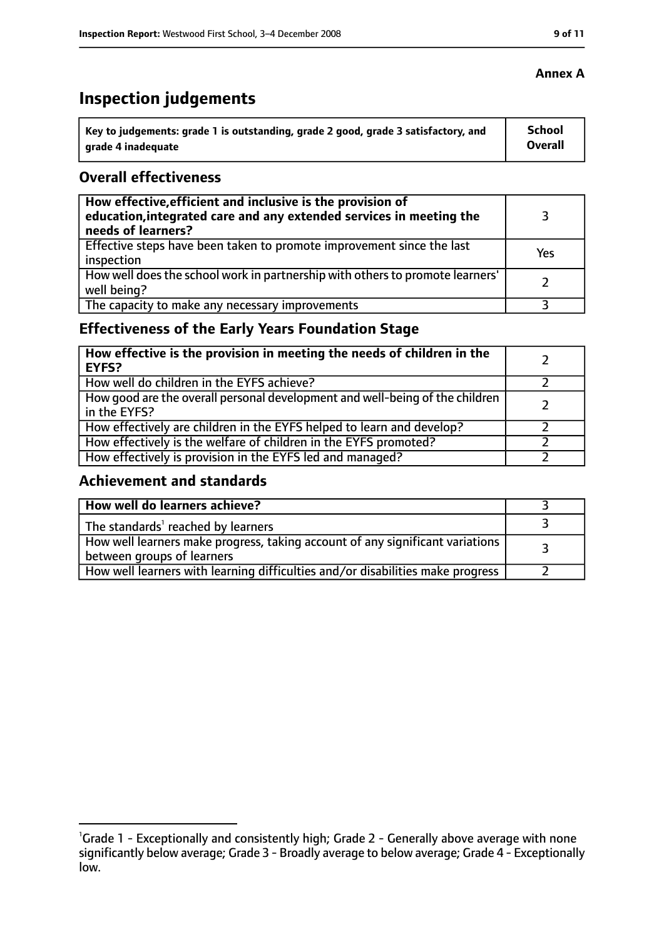# **Inspection judgements**

| ˈ Key to judgements: grade 1 is outstanding, grade 2 good, grade 3 satisfactory, and | School         |
|--------------------------------------------------------------------------------------|----------------|
| grade 4 inadequate                                                                   | <b>Overall</b> |

#### **Overall effectiveness**

| How effective, efficient and inclusive is the provision of<br>education, integrated care and any extended services in meeting the<br>needs of learners? |     |
|---------------------------------------------------------------------------------------------------------------------------------------------------------|-----|
| Effective steps have been taken to promote improvement since the last<br>inspection                                                                     | Yes |
| How well does the school work in partnership with others to promote learners'<br>well being?                                                            |     |
| The capacity to make any necessary improvements                                                                                                         |     |

# **Effectiveness of the Early Years Foundation Stage**

| How effective is the provision in meeting the needs of children in the<br>l EYFS?              |  |
|------------------------------------------------------------------------------------------------|--|
| How well do children in the EYFS achieve?                                                      |  |
| How good are the overall personal development and well-being of the children<br>I in the EYFS? |  |
| How effectively are children in the EYFS helped to learn and develop?                          |  |
| How effectively is the welfare of children in the EYFS promoted?                               |  |
| How effectively is provision in the EYFS led and managed?                                      |  |

#### **Achievement and standards**

| How well do learners achieve?                                                  |  |
|--------------------------------------------------------------------------------|--|
| $\vert$ The standards <sup>1</sup> reached by learners                         |  |
| How well learners make progress, taking account of any significant variations  |  |
| between groups of learners                                                     |  |
| How well learners with learning difficulties and/or disabilities make progress |  |

## **Annex A**

<sup>&</sup>lt;sup>1</sup>Grade 1 - Exceptionally and consistently high; Grade 2 - Generally above average with none significantly below average; Grade 3 - Broadly average to below average; Grade 4 - Exceptionally low.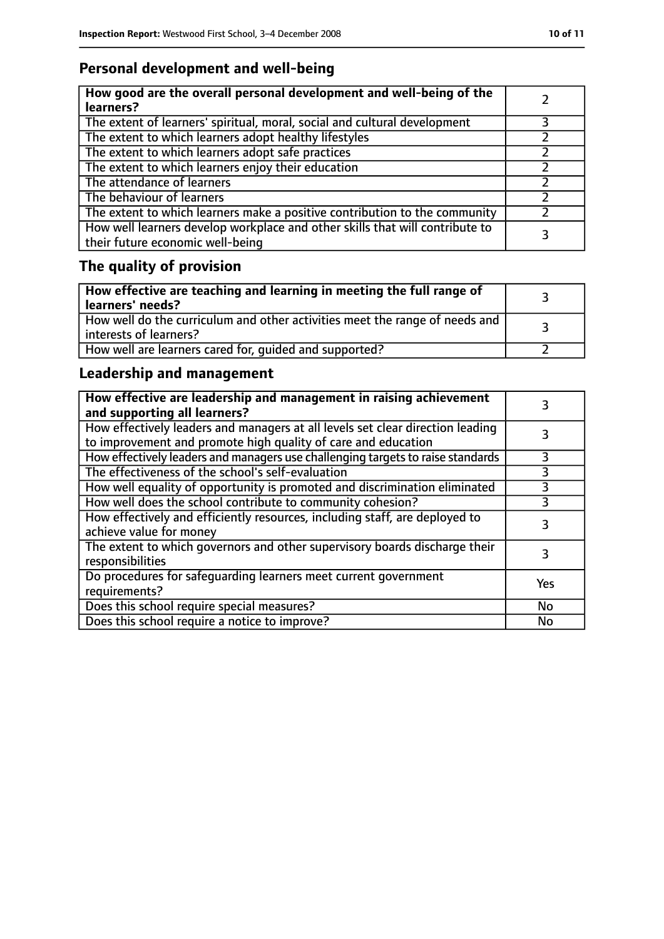# **Personal development and well-being**

| How good are the overall personal development and well-being of the<br>learners?                                 |   |
|------------------------------------------------------------------------------------------------------------------|---|
| The extent of learners' spiritual, moral, social and cultural development                                        | 3 |
| The extent to which learners adopt healthy lifestyles                                                            |   |
| The extent to which learners adopt safe practices                                                                |   |
| The extent to which learners enjoy their education                                                               |   |
| The attendance of learners                                                                                       |   |
| The behaviour of learners                                                                                        |   |
| The extent to which learners make a positive contribution to the community                                       |   |
| How well learners develop workplace and other skills that will contribute to<br>their future economic well-being |   |

# **The quality of provision**

| How effective are teaching and learning in meeting the full range of<br>learners' needs?              |  |
|-------------------------------------------------------------------------------------------------------|--|
| How well do the curriculum and other activities meet the range of needs and<br>interests of learners? |  |
| How well are learners cared for, quided and supported?                                                |  |

# **Leadership and management**

| How effective are leadership and management in raising achievement<br>and supporting all learners?                                              |     |
|-------------------------------------------------------------------------------------------------------------------------------------------------|-----|
| How effectively leaders and managers at all levels set clear direction leading<br>to improvement and promote high quality of care and education |     |
| How effectively leaders and managers use challenging targets to raise standards                                                                 | 3   |
| The effectiveness of the school's self-evaluation                                                                                               | 3   |
| How well equality of opportunity is promoted and discrimination eliminated                                                                      | 3   |
| How well does the school contribute to community cohesion?                                                                                      | 3   |
| How effectively and efficiently resources, including staff, are deployed to<br>achieve value for money                                          |     |
| The extent to which governors and other supervisory boards discharge their<br>responsibilities                                                  | 3   |
| Do procedures for safequarding learners meet current government<br>requirements?                                                                | Yes |
| Does this school require special measures?                                                                                                      | No  |
| Does this school require a notice to improve?                                                                                                   | No  |